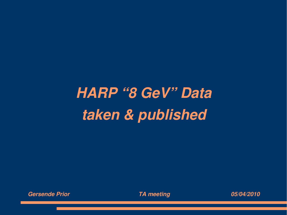## *HARP "8 GeV" Data taken & published*



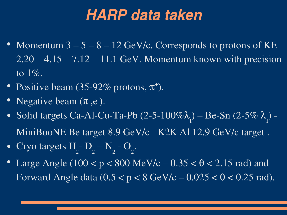## *HARP data taken*

- Momentum  $3-5-8-12$  GeV/c. Corresponds to protons of KE  $2.20 - 4.15 - 7.12 - 11.1$  GeV. Momentum known with precision to 1%.
- Positive beam (35-92% protons,  $\pi^+$ ).
- Negative beam  $(\pi, e)$ .
- Solid targets Ca-Al-Cu-Ta-Pb  $(2-5-100\%)$ I ) – Be-Sn (2-5%  $\lambda$ I  $) -$ MiniBooNE Be target 8.9 GeV/c - K2K Al 12.9 GeV/c target.
- Cryo targets H 2  $\overline{\phantom{a}}$ 2 – N 2  $-$  O 2
- Large Angle  $(100 < p < 800 \text{ MeV/c} 0.35 < \theta < 2.15 \text{ rad})$  and Forward Angle data  $(0.5 < p < 8 \text{ GeV/c} - 0.025 < \theta < 0.25 \text{ rad})$ .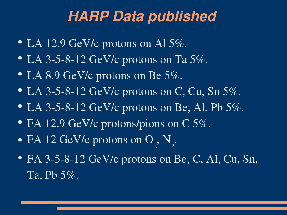## *HARP Data published*

- LA 12.9 GeV/c protons on Al  $5\%$ .
- LA 3-5-8-12 GeV/c protons on Ta  $5\%$ .
- LA 8.9 GeV/c protons on Be  $5\%$ .
- LA 3-5-8-12 GeV/c protons on C, Cu, Sn  $5\%$ .
- LA 3-5-8-12 GeV/c protons on Be, Al, Pb  $5\%$ .
- FA 12.9 GeV/c protons/pions on C 5%.
- FA 12 GeV/c protons on O 2 , N 2
- FA 3-5-8-12 GeV/c protons on Be, C, Al, Cu, Sn, Ta, Pb 5%.